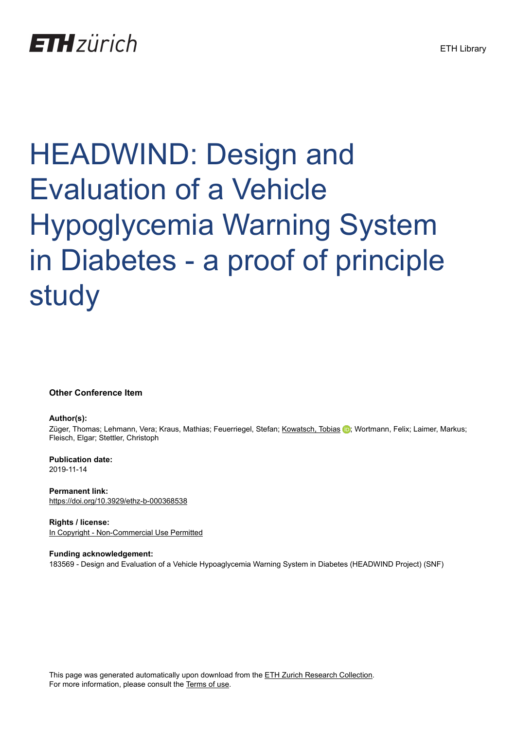# **ETH** zürich

# HEADWIND: Design and Evaluation of a Vehicle Hypoglycemia Warning System in Diabetes - a proof of principle study

#### **Other Conference Item**

#### **Author(s):**

Züger, Thomas; Lehmann, Vera; Kraus, Mathias; Feuerriegel, Stefan; [Kowatsch, Tobias](https://orcid.org/0000-0001-5939-4145) (D; Wortmann, Felix; Laimer, Markus; Fleisch, Elgar; Stettler, Christoph

**Publication date:** 2019-11-14

**Permanent link:** <https://doi.org/10.3929/ethz-b-000368538>

**Rights / license:** [In Copyright - Non-Commercial Use Permitted](http://rightsstatements.org/page/InC-NC/1.0/)

**Funding acknowledgement:** 183569 - Design and Evaluation of a Vehicle Hypoaglycemia Warning System in Diabetes (HEADWIND Project) (SNF)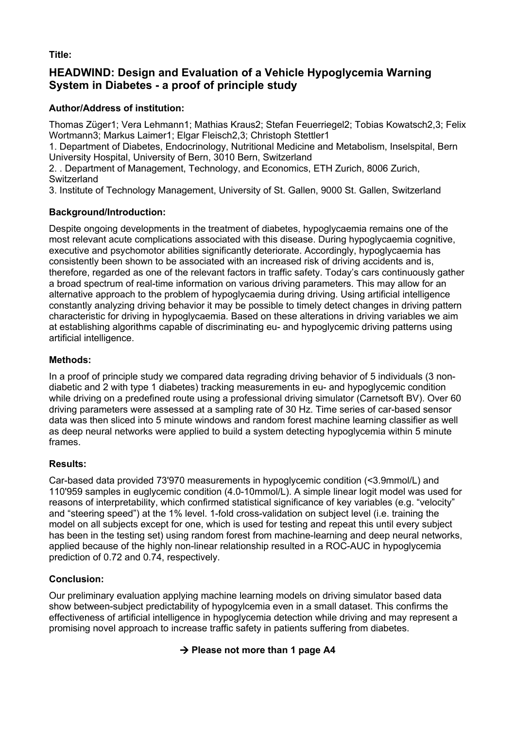**Title:**

## **HEADWIND: Design and Evaluation of a Vehicle Hypoglycemia Warning System in Diabetes - a proof of principle study**

### **Author/Address of institution:**

Thomas Züger1; Vera Lehmann1; Mathias Kraus2; Stefan Feuerriegel2; Tobias Kowatsch2,3; Felix Wortmann3; Markus Laimer1; Elgar Fleisch2,3; Christoph Stettler1

1. Department of Diabetes, Endocrinology, Nutritional Medicine and Metabolism, Inselspital, Bern University Hospital, University of Bern, 3010 Bern, Switzerland

2. . Department of Management, Technology, and Economics, ETH Zurich, 8006 Zurich, **Switzerland** 

3. Institute of Technology Management, University of St. Gallen, 9000 St. Gallen, Switzerland

#### **Background/Introduction:**

Despite ongoing developments in the treatment of diabetes, hypoglycaemia remains one of the most relevant acute complications associated with this disease. During hypoglycaemia cognitive, executive and psychomotor abilities significantly deteriorate. Accordingly, hypoglycaemia has consistently been shown to be associated with an increased risk of driving accidents and is, therefore, regarded as one of the relevant factors in traffic safety. Today's cars continuously gather a broad spectrum of real-time information on various driving parameters. This may allow for an alternative approach to the problem of hypoglycaemia during driving. Using artificial intelligence constantly analyzing driving behavior it may be possible to timely detect changes in driving pattern characteristic for driving in hypoglycaemia. Based on these alterations in driving variables we aim at establishing algorithms capable of discriminating eu- and hypoglycemic driving patterns using artificial intelligence.

#### **Methods:**

In a proof of principle study we compared data regrading driving behavior of 5 individuals (3 nondiabetic and 2 with type 1 diabetes) tracking measurements in eu- and hypoglycemic condition while driving on a predefined route using a professional driving simulator (Carnetsoft BV). Over 60 driving parameters were assessed at a sampling rate of 30 Hz. Time series of car-based sensor data was then sliced into 5 minute windows and random forest machine learning classifier as well as deep neural networks were applied to build a system detecting hypoglycemia within 5 minute frames.

#### **Results:**

Car-based data provided 73'970 measurements in hypoglycemic condition (<3.9mmol/L) and 110'959 samples in euglycemic condition (4.0-10mmol/L). A simple linear logit model was used for reasons of interpretability, which confirmed statistical significance of key variables (e.g. "velocity" and "steering speed") at the 1% level. 1-fold cross-validation on subject level (i.e. training the model on all subjects except for one, which is used for testing and repeat this until every subject has been in the testing set) using random forest from machine-learning and deep neural networks, applied because of the highly non-linear relationship resulted in a ROC-AUC in hypoglycemia prediction of 0.72 and 0.74, respectively.

#### **Conclusion:**

Our preliminary evaluation applying machine learning models on driving simulator based data show between-subject predictability of hypogylcemia even in a small dataset. This confirms the effectiveness of artificial intelligence in hypoglycemia detection while driving and may represent a promising novel approach to increase traffic safety in patients suffering from diabetes.

#### à **Please not more than 1 page A4**